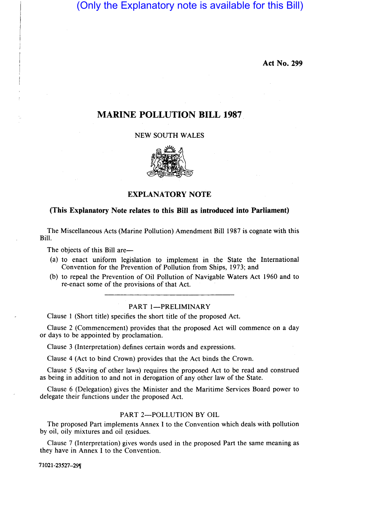(Only the Explanatory note is available for this Bill)

**Act No. 299** 

# **MARINE POLLUTION BILL 1987**

## NEW SOUTH WALES



## **EXPLANATORY NOTE**

### **(This Explanatory Note relates to this Bill as introduced into Parliament)**

The Miscellaneous Acts (Marine Pollution) Amendment Bill 1987 is cognate with this Bill.

The objects of this Bill are—

- (a) to enact uniform legislation to implement in the State the International Convention for the Prevention of Pollution from Ships, 1973; and
- (b) to repeal the Prevention of Oil Pollution of Navigable Waters Act 1960 and to re-enact some of the provisions of that Act.

### PART 1-PRELIMINARY

Clause I (Short title) specifies the short title of the proposed Act.

Clause 2 (Commencement) provides that the proposed Act will commence on a day or days to be appointed by proclamation.

Clause 3 (Interpretation) defines certain words and expressions.

Clause 4 (Act to bind Crown) provides that the Act binds the Crown.

Clause 5 (Saving of other laws) requires the proposed Act to be read and construed as being in addition to and not in derogation of any other law of the State.

Clause 6 (Delegation) gives the Minister and the Maritime Services Board power to delegate their functions under the proposed Act.

#### PART 2-POLLUTION BY OIL

The proposed Part implements Annex I to the Convention which deals with pollution by oil, oily mixtures and oil residues.

Clause 7 (Interpretation) gives words used in the proposed Part the same meaning as they have in Annex I to the Convention.

71021-23527-29'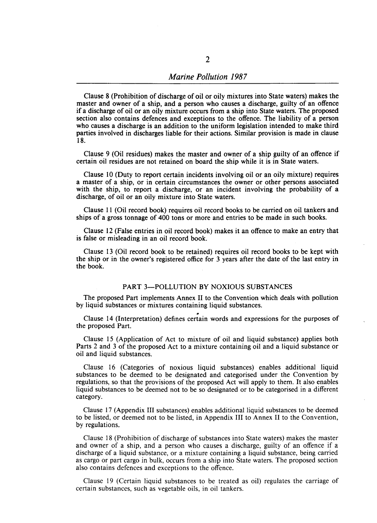Clause 8 (Prohibition of discharge of oil or oily mixtures into State waters) makes the master and owner of a ship, and a person who causes a discharge, guilty of an offence if a discharge of oil or an oily mixture occurs from a ship into State waters. The proposed section also contains defences and exceptions to the offence. The liability of a person who causes a discharge is an addition to the uniform legislation intended to make third parties involved in discharges liable for their actions. Similar provision is made in clause 18.

Clause 9 (Oil residues) makes the master and owner of a ship guilty of an offence if certain oil residues are not retained on board the ship while it is in State waters.

Clause 10 (Duty to report certain incidents involving oil or an oily mixture) requires a master of a ship, or in certain circumstances the owner or other persons associated with the ship, to report a discharge, or an incident involving the probability of a discharge, of oil or an oily mixture into State waters.

Clause 11 (Oil record book) requires oil record books to be carried on oil tankers and ships of a gross tonnage of 400 tons or more and entries to be made in such books.

Clause 12 (False entries in oil record book) makes it an offence to make an entry that is false or misleading in an oil record book.

Clause 13 (Oil record book to be retained) requires oil record books to be kept with the ship or in the owner's registered office for 3 years after the date of the last entry in the book.

#### PART 3-POLLUTION BY NOXIOUS SUBSTANCES

The proposed Part implements Annex 11 to the Convention which deals with pollution by liquid substances or mixtures containing liquid substances.

Clause 14 (Interpretation) defines certain words and expressions for the purposes of the proposed Part.

Clause 15 (Application of Act to mixture of oil and liquid substance) applies both Parts 2 and 3 of the proposed Act to a mixture containing oil and a liquid substance or oil and liquid substances.

Clause 16 (Categories of noxious liquid substances) enables additional liquid substances to be deemed to be designated and categorised under the Convention by regulations, so that the provisions of the proposed Act will apply to them. It also enables liquid substances to be deemed not to be so designated or to be categorised in a different category.

Clause 17 (Appendix III substances) enables additional liquid substances to be deemed to be listed, or deemed not to be listed, in Appendix III to Annex 11 to the Convention, by regulations.

Clause 18 (Prohibition of discharge of substances into State waters) makes the master and owner of a ship, and a person who causes a discharge, guilty of an offence if a discharge of a liquid substance, or a mixture containing a liquid substance, being carried as cargo or part cargo in bulk, occurs from a ship into State waters. The proposed section also contains defences and exceptions to the offence.

Clause 19 (Certain liquid substances to be treated as oil) regulates the carriage of certain substances, such as vegetable oils, in oil tankers.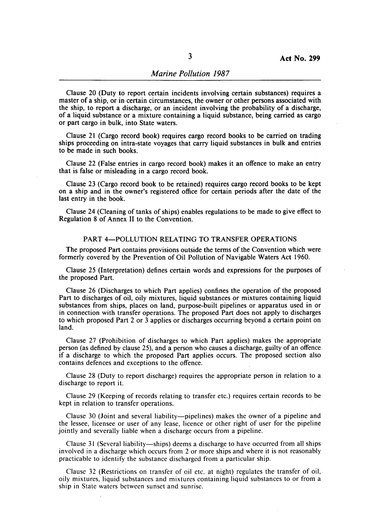Clause 20 (Duty to report certain incidents involving certain substances) requires a master of a ship, or in certain circumstances, the owner or other persons associated with the ship, to report a discharge, or an incident involving the probability of a discharge, of a liquid substance or a mixture containing a liquid substance, being carried as cargo or part cargo in bulk, into State waters.

Clause 21 (Cargo record book) requires cargo record books to be carried on trading ships proceeding on intra-state voyages that carry liquid substances in bulk and entries to be made in such books.

Clause 22 (False entries in cargo record book) makes it an offence to make an entry that is false or misleading in a cargo record book.

Clause 23 (Cargo record book to be retained) requires cargo record books to be kept on a ship and in the owner's registered office for certain periods after the date of the last entry in the book.

Clause 24 (Cleaning of tanks of ships) enables regulations to be made to give effect to Regulation 8 of Annex 11 to the Convention.

#### PART 4-POLLUTION RELATING TO TRANSFER OPERATIONS

The proposed Part contains provisions outside the terms of the Convention which were formerly covered by the Prevention of Oil Pollution of Navigable Waters Act 1960.

Clause 25 (Interpretation) defines certain words and expressions for the purposes of the proposed Part.

Clause 26 (Discharges to which Part applies) confines the operation of the proposed Part to discharges of oil, oily mixtures, liquid substances or mixtures containing liquid substances from ships, places on land, purpose-built pipelines or apparatus used in or in connection with transfer operations. The proposed Part does not apply to discharges to which proposed Part 2 or 3 applies or discharges occurring beyond a certain point on land.

Clause 27 (Prohibition of discharges to which Part applies) makes the appropriate person (as defined by clause 25), and a person who causes a discharge, guilty of an offence if a discharge to which the proposed Part applies occurs. The proposed section also contains defences and exceptions to the offence.

Clause 28 (Duty to report discharge) requires the appropriate person in relation to a discharge to report it.

Clause 29 (Keeping of records relating to transfer etc.) requires certain records to be kept in relation to transfer operations.

Clause 30 (Joint and several liability-pipelines) makes the owner of a pipeline and the lessee, licensee or user of any lease, licence or other right of user for the pipeline jointly and severally liable when a discharge occurs from a pipeline.

Clause 31 (Several liability-ships) deems a discharge to have occurred from all ships involved in a discharge which occurs from 2 or more ships and where it is not reasonably practicable to identify the substance discharged from a particular ship.

Clause 32 (Restrictions on transfer of oil etc. at night) regulates the transfer of oil, oily mixtures, liquid substances and mixtures containing liquid substances to or from a ship in State waters between sunset and sunrise.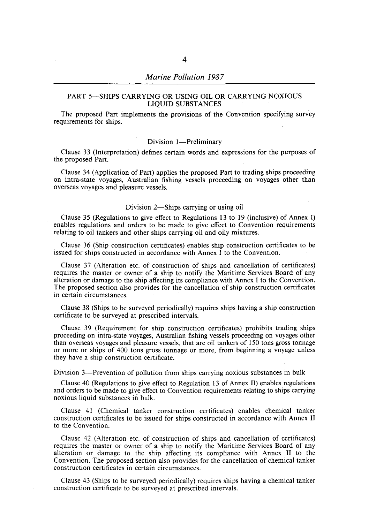## *Marine Pollution 1987*

#### PART 5-SHIPS CARRYING OR USING OIL OR CARRYING NOXIOUS LIQUID SUBSTANCES

The proposed Part implements the provisions of the Convention specifying survey requirements for ships.

#### Division 1-Preliminary

Clause 33 (Interpretation) defines certain words and expressions for the purposes of the proposed Part.

Clause 34 (Application of Part) applies the proposed Part to trading ships proceeding on intra-state voyages, Australian fishing vessels proceeding on voyages other than overseas voyages and pleasure vessels.

#### Division 2-Ships carrying or using oil

Clause 35 (Regulations to give effect to Regulations 13 to 19 (inclusive) of Annex I) enables regulations and orders to be made to give effect to Convention requirements relating to oil tankers and other ships carrying oil and oily mixtures.

Clause 36 (Ship construction certificates) enables ship construction certificates to be issued for ships constructed in accordance with Annex I to the Convention.

Clause 37 (Alteration etc. of construction of ships and cancellation of certificates) requires the master or owner of a ship to notify the Maritime Services Board of' any alteration or damage to the ship affecting its compliance with Annex I to the Convention. The proposed section also provides for the cancellation of ship construction certificates in certain circumstances.

Clause 38 (Ships to be surveyed periodically) requires ships having a ship construction certificate to be surveyed at prescribed intervals.

Clause 39 (Requirement for ship construction certificates) prohibits trading ships proceeding on intra-state voyages, Australian fishing vessels proceeding on voyages other than overseas voyages and pleasure vessels, that are oil tankers of 150 tons gross tonnage or more or ships of 400 tons gross tonnage or more, from beginning a voyage unless they have a ship construction certificate.

Division 3-Prevention of pollution from ships carrying noxious substances in bulk

Clause 40 (Regulations to give effect to Regulation 13 of Annex 11) enables regulations and orders to be made to give effect to Convention requirements relating to ships carrying noxious liquid substances in bulk.

Clause 41 (Chemical tanker construction certificates) enables chemical tanker construction certificates to be issued for ships constructed in accordance with Annex 11 to the Convention.

Clause 42 (Alteration etc. of construction of ships and cancellation of certificates) requires the master or owner of a ship to notify the Maritime Services Board of any alteration or damage to the ship affecting its compliance with Annex 11 to the Convention. The proposed section also provides for the cancellation of chemical tanker construction certificates in certain circumstances.

Clause 43 (Ships to be surveyed periodically) requires ships having a chemical tanker construction certificate to be surveyed at prescribed intervals.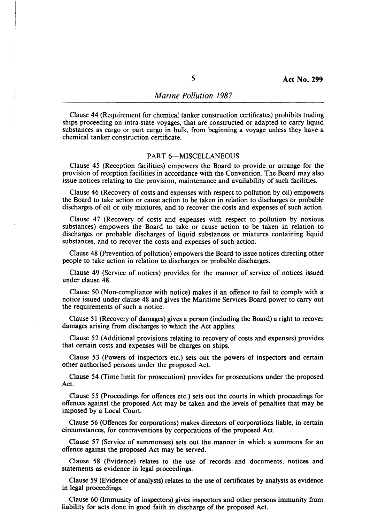Clause 44 (Requirement for chemical tanker construction certificates) prohibits trading ships proceeding on intra-state voyages, that are constructed or adapted to carry liquid substances as cargo or part cargo in bulk, from beginning a voyage unless they have a chemical tanker construction certificate.

## PART 6-MISCELLANEOUS

Clause 45 (Reception facilities) empowers the Board to provide or arrange for the provision of reception facilities in accordance with the Convention. The Board may also issue notices relating to the provision, maintenance and availability of such facilities.

Clause 46 (Recovery of costs and expenses with respect to pollution by oil) empowers the Board to take action or cause action to be taken in relation to discharges or probable discharges of oil or oily mixtures, and to recover the costs and expenses of such action.

Clause 47 (Recovery of costs and expenses with respect to, pollution by noxious substances) empowers the Board to take or cause action to be taken in relation to discharges or probable discharges of liquid substances or mixtures containing liquid substances, and to recover the costs and expenses of such action.

Clause 48 (Prevention of pollution) empowers the Board to issue notices directing other people to take action in relation to discharges or probable discharges.

Clause 49 (Service of notices) provides for the manner of service of notices issued under clause 48.

Clause 50 (Non-compliance with notice) makes it an offence to fail to comply with a notice issued under clause 48 and gives the Maritime Services Board power to carry out the requirements of such a notice.

Clause 51 (Recovery of damages) gives a person (including the Board) a right to recover damages arising from discharges to which the Act applies.

Clause 52 (Additional provisions relating to recovery of costs and expenses) provides that certain costs and expenses will be charges on ships.

Clause 53 (Powers of inspectors etc.) sets out the powers of inspectors and certain other authorised persons under the proposed Act.

Clause 54 (Time limit for prosecution) provides for prosecutions under the proposed Act.

Clause 55 (Proceedings for offences etc.) sets out the courts in which proceedings for offences against the proposed Act may be taken and the levels of penalties that may be imposed by a Local Court.

Clause 56 (Offences for corporations) makes directors of corporations liable, in certain circumstances, for contraventions by corporations of the proposed Act.

Clause 57 (Service of summonses) sets out the manner in which a summons for an offence against the proposed Act may be served.

Clause 58 (Evidence) relates to the use of records and documents, notices and statements as evidence in legal proceedings.

Clause 59 (Evidence of analysts) relates to the use of certificates by analysts as evidence in legal proceedings.

Clause 60 (Immunity of inspectors) gives inspectors and other persons immunity from liability for acts done in good faith in discharge of the proposed Act.